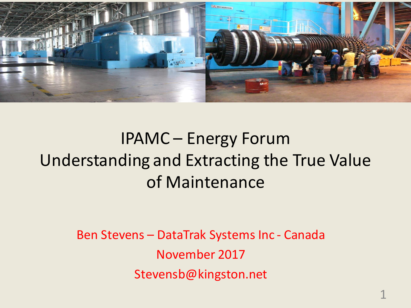

### IPAMC – Energy Forum Understanding and Extracting the True Value of Maintenance

Ben Stevens – DataTrak Systems Inc - Canada November 2017 Stevensb@kingston.net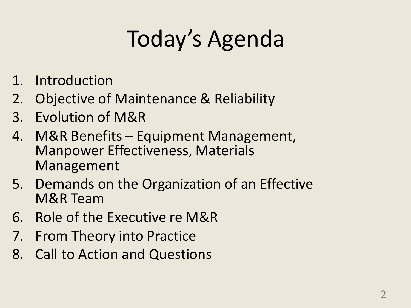# Today's Agenda

- 1. Introduction
- 2. Objective of Maintenance & Reliability
- 3. Evolution of M&R
- 4. M&R Benefits Equipment Management, Manpower Effectiveness, Materials Management
- 5. Demands on the Organization of an Effective M&R Team
- 6. Role of the Executive re M&R
- 7. From Theory into Practice
- 8. Call to Action and Questions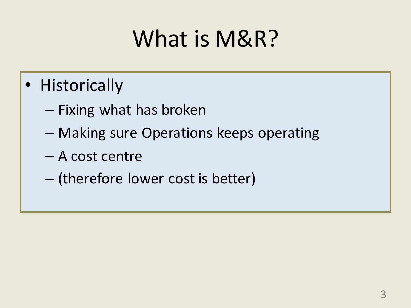# What is M&R?

- Historically
	- Fixing what has broken
	- Making sure Operations keeps operating
	- A cost centre
	- (therefore lower cost is better)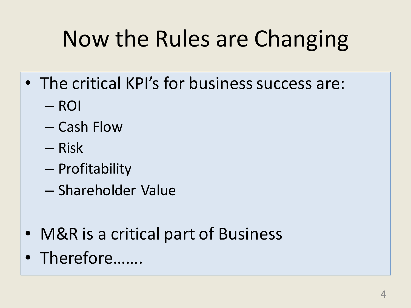# Now the Rules are Changing

- The critical KPI's for business success are:
	- ROI
	- Cash Flow
	- Risk
	- Profitability
	- Shareholder Value
- M&R is a critical part of Business
- Therefore…….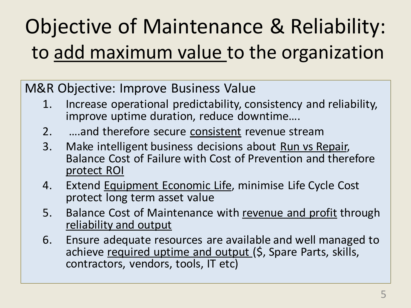## Objective of Maintenance & Reliability: to add maximum value to the organization

M&R Objective: Improve Business Value

- 1. Increase operational predictability, consistency and reliability, improve uptime duration, reduce downtime….
- 2. …and therefore secure consistent revenue stream
- 3. Make intelligent business decisions about Run vs Repair, Balance Cost of Failure with Cost of Prevention and therefore protect ROI
- 4. Extend Equipment Economic Life, minimise Life Cycle Cost protect long term asset value
- 5. Balance Cost of Maintenance with revenue and profit through reliability and output
- 6. Ensure adequate resources are available and well managed to achieve required uptime and output (\$, Spare Parts, skills, contractors, vendors, tools, IT etc)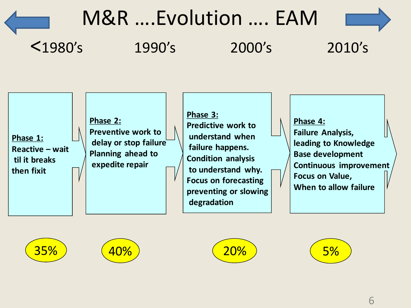## M&R ….Evolution …. EAM



**Phase 1: Reactive – wait til it breaks then fixit Phase 2: Preventive work to delay or stop failure Planning ahead to expedite repair Phase 3: Predictive work to understand when failure happens. Condition analysis to understand why. Focus on forecasting preventing or slowing degradation Phase 4: Failure Analysis, leading to Knowledge Base development Continuous improvement Focus on Value, When to allow failure**







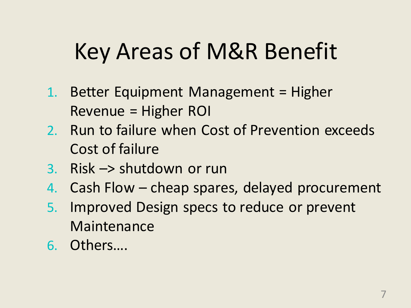# Key Areas of M&R Benefit

- 1. Better Equipment Management = Higher Revenue = Higher ROI
- 2. Run to failure when Cost of Prevention exceeds Cost of failure
- 3. Risk –> shutdown or run
- 4. Cash Flow cheap spares, delayed procurement
- 5. Improved Design specs to reduce or prevent Maintenance
- 6. Others….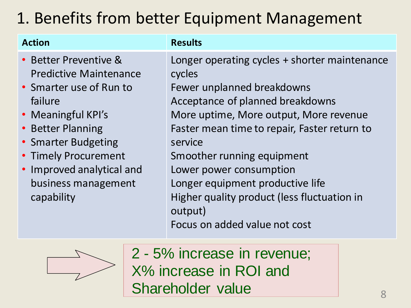### 1. Benefits from better Equipment Management

| <b>Action</b>                                                                                                                                                                                                                                            | <b>Results</b>                                                                                                                                                                                                                                                                                                                                                                                                         |
|----------------------------------------------------------------------------------------------------------------------------------------------------------------------------------------------------------------------------------------------------------|------------------------------------------------------------------------------------------------------------------------------------------------------------------------------------------------------------------------------------------------------------------------------------------------------------------------------------------------------------------------------------------------------------------------|
| • Better Preventive &<br><b>Predictive Maintenance</b><br>• Smarter use of Run to<br>failure<br>• Meaningful KPI's<br>• Better Planning<br>• Smarter Budgeting<br>• Timely Procurement<br>• Improved analytical and<br>business management<br>capability | Longer operating cycles + shorter maintenance<br>cycles<br>Fewer unplanned breakdowns<br>Acceptance of planned breakdowns<br>More uptime, More output, More revenue<br>Faster mean time to repair, Faster return to<br>service<br>Smoother running equipment<br>Lower power consumption<br>Longer equipment productive life<br>Higher quality product (less fluctuation in<br>output)<br>Focus on added value not cost |



2 - 5% increase in revenue; X% increase in ROI and Shareholder value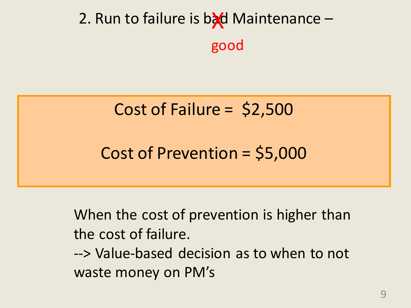## 2. Run to failure is byd Maintenance good

### Cost of Failure = \$2,500

Cost of Prevention = \$5,000

When the cost of prevention is higher than the cost of failure. --> Value-based decision as to when to not waste money on PM's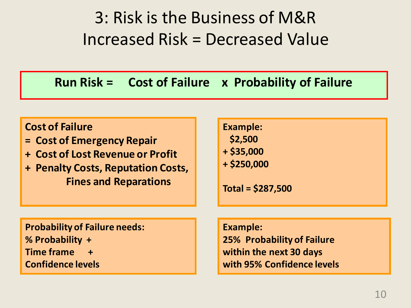### 3: Risk is the Business of M&R Increased Risk = Decreased Value

#### **Run Risk = Cost of Failure x Probability of Failure**

#### **Cost of Failure**

- **= Cost of Emergency Repair**
- **+ Cost of Lost Revenue or Profit**
- **+ Penalty Costs, Reputation Costs, Fines and Reparations**

**Example: \$2,500 + \$35,000**

**+ \$250,000**

**Total = \$287,500**

**Probability of Failure needs: % Probability + Time frame + Confidence levels**

**Example:**

**25% Probability of Failure within the next 30 days with 95% Confidence levels**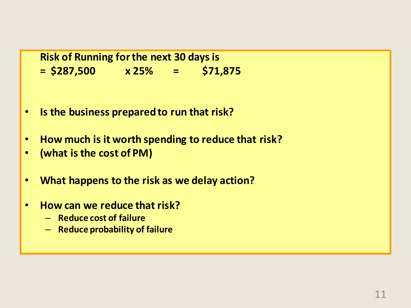**Risk of Running for the next 30 days is = \$287,500 x 25% = \$71,875**

- **Is the business prepared to run that risk?**
- **How much is it worth spending to reduce that risk?**
- **(what is the cost of PM)**
- **What happens to the risk as we delay action?**
- **How can we reduce that risk?**
	- **Reduce cost of failure**
	- **Reduce probability of failure**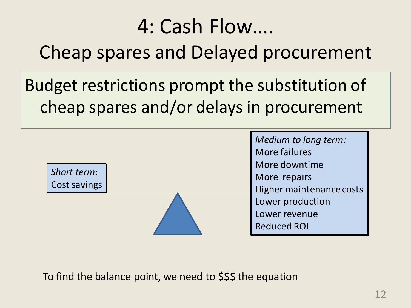## 4: Cash Flow…. Cheap spares and Delayed procurement

Budget restrictions prompt the substitution of cheap spares and/or delays in procurement

|              |  | Medium to long term:     |
|--------------|--|--------------------------|
|              |  | <b>More failures</b>     |
|              |  | More downtime            |
| Short term:  |  | More repairs             |
| Cost savings |  | Higher maintenance costs |
|              |  | Lower production         |
|              |  | Lower revenue            |
|              |  | <b>Reduced ROI</b>       |

To find the balance point, we need to \$\$\$ the equation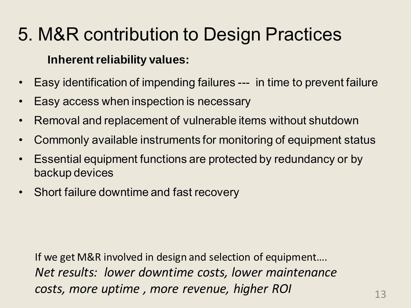## 5. M&R contribution to Design Practices

#### **Inherent reliability values:**

- Easy identification of impending failures --- in time to prevent failure
- Easy access when inspection is necessary
- Removal and replacement of vulnerable items without shutdown
- Commonly available instruments for monitoring of equipment status
- Essential equipment functions are protected by redundancy or by backup devices
- Short failure downtime and fast recovery

If we get M&R involved in design and selection of equipment…. *Net results: lower downtime costs, lower maintenance costs, more uptime , more revenue, higher ROI*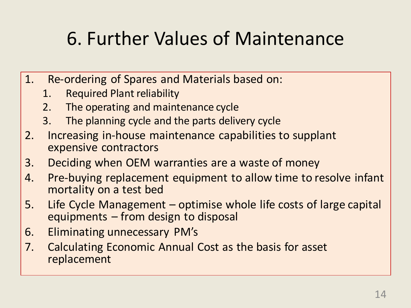## 6. Further Values of Maintenance

- 1. Re-ordering of Spares and Materials based on:
	- 1. Required Plant reliability
	- 2. The operating and maintenance cycle
	- 3. The planning cycle and the parts delivery cycle
- 2. Increasing in-house maintenance capabilities to supplant expensive contractors
- 3. Deciding when OEM warranties are a waste of money
- 4. Pre-buying replacement equipment to allow time to resolve infant mortality on a test bed
- 5. Life Cycle Management optimise whole life costs of large capital equipments – from design to disposal
- 6. Eliminating unnecessary PM's
- 7. Calculating Economic Annual Cost as the basis for asset replacement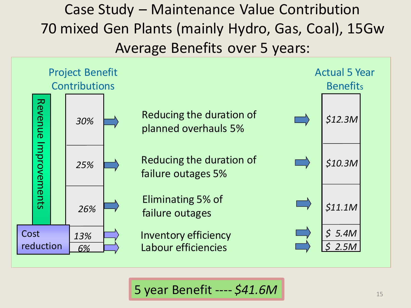Case Study – Maintenance Value Contribution 70 mixed Gen Plants (mainly Hydro, Gas, Coal), 15Gw Average Benefits over 5 years:



5 year Benefit ---- *\$41.6M*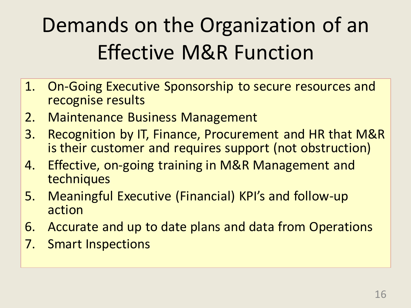# Demands on the Organization of an Effective M&R Function

- 1. On-Going Executive Sponsorship to secure resources and recognise results
- 2. Maintenance Business Management
- 3. Recognition by IT, Finance, Procurement and HR that M&R is their customer and requires support (not obstruction)
- 4. Effective, on-going training in M&R Management and techniques
- 5. Meaningful Executive (Financial) KPI's and follow-up action
- 6. Accurate and up to date plans and data from Operations
- 7. Smart Inspections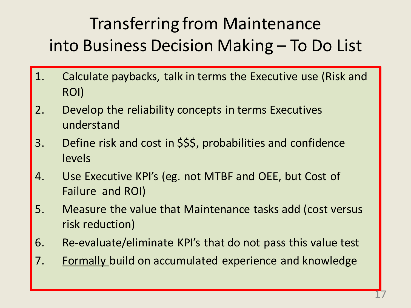## Transferring from Maintenance into Business Decision Making – To Do List

- 1. Calculate paybacks, talk in terms the Executive use (Risk and ROI)
- 2. Develop the reliability concepts in terms Executives understand
- 3. Define risk and cost in \$\$\$, probabilities and confidence levels
- 4. Use Executive KPI's (eg. not MTBF and OEE, but Cost of Failure and ROI)
- 5. Measure the value that Maintenance tasks add (cost versus risk reduction)
- 6. Re-evaluate/eliminate KPI's that do not pass this value test
- 7. Formally build on accumulated experience and knowledge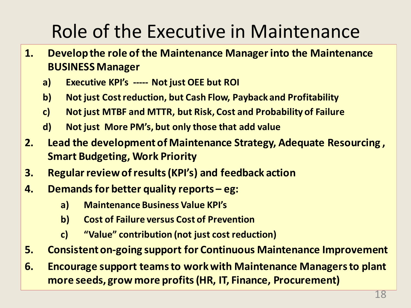## Role of the Executive in Maintenance

- **1. Develop the role of the Maintenance Manager into the Maintenance BUSINESS Manager** 
	- **a) Executive KPI's ----- Not just OEE but ROI**
	- **b) Not just Cost reduction, but Cash Flow, Payback and Profitability**
	- **c) Not just MTBF and MTTR, but Risk, Cost and Probability of Failure**
	- **d) Not just More PM's, but only those that add value**
- **2. Lead the development of Maintenance Strategy, Adequate Resourcing , Smart Budgeting, Work Priority**
- **3. Regular review of results (KPI's) and feedback action**
- **4. Demands for better quality reports eg:** 
	- **a) Maintenance Business Value KPI's**
	- **b) Cost of Failure versus Cost of Prevention**
	- **c) "Value" contribution (not just cost reduction)**
- **5. Consistent on-going support for Continuous Maintenance Improvement**
- **6. Encourage support teams to work with Maintenance Managers to plant more seeds, grow more profits (HR, IT, Finance, Procurement)**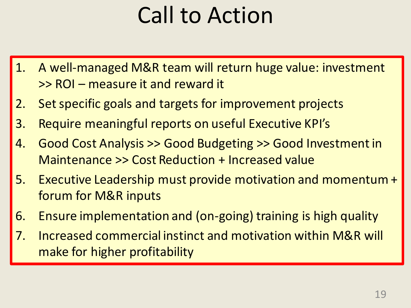# Call to Action

- 1. A well-managed M&R team will return huge value: investment >> ROI – measure it and reward it
- 2. Set specific goals and targets for improvement projects
- 3. Require meaningful reports on useful Executive KPI's
- 4. Good Cost Analysis >> Good Budgeting >> Good Investment in Maintenance >> Cost Reduction + Increased value
- 5. Executive Leadership must provide motivation and momentum + forum for M&R inputs
- 6. Ensure implementation and (on-going) training is high quality
- 7. Increased commercial instinct and motivation within M&R will make for higher profitability